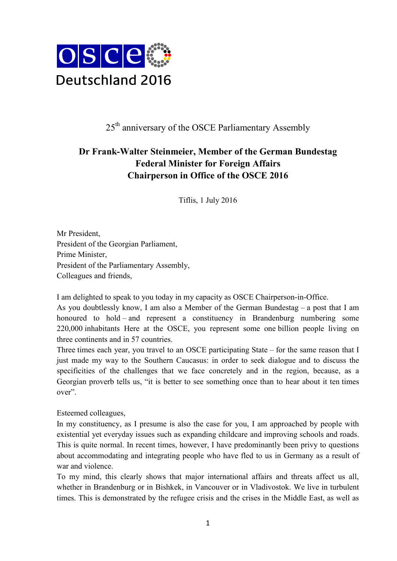

## $25<sup>th</sup>$  anniversary of the OSCE Parliamentary Assembly

## **Dr Frank-Walter Steinmeier, Member of the German Bundestag Federal Minister for Foreign Affairs Chairperson in Office of the OSCE 2016**

Tiflis, 1 July 2016

Mr President, President of the Georgian Parliament, Prime Minister, President of the Parliamentary Assembly, Colleagues and friends,

I am delighted to speak to you today in my capacity as OSCE Chairperson-in-Office.

As you doubtlessly know, I am also a Member of the German Bundestag – a post that I am honoured to hold – and represent a constituency in Brandenburg numbering some 220,000 inhabitants Here at the OSCE, you represent some one billion people living on three continents and in 57 countries.

Three times each year, you travel to an OSCE participating State – for the same reason that I just made my way to the Southern Caucasus: in order to seek dialogue and to discuss the specificities of the challenges that we face concretely and in the region, because, as a Georgian proverb tells us, "it is better to see something once than to hear about it ten times over".

Esteemed colleagues,

In my constituency, as I presume is also the case for you, I am approached by people with existential yet everyday issues such as expanding childcare and improving schools and roads. This is quite normal. In recent times, however, I have predominantly been privy to questions about accommodating and integrating people who have fled to us in Germany as a result of war and violence.

To my mind, this clearly shows that major international affairs and threats affect us all, whether in Brandenburg or in Bishkek, in Vancouver or in Vladivostok. We live in turbulent times. This is demonstrated by the refugee crisis and the crises in the Middle East, as well as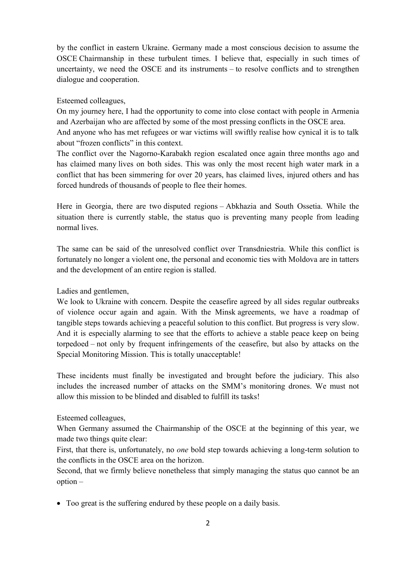by the conflict in eastern Ukraine. Germany made a most conscious decision to assume the OSCE Chairmanship in these turbulent times. I believe that, especially in such times of uncertainty, we need the OSCE and its instruments – to resolve conflicts and to strengthen dialogue and cooperation.

## Esteemed colleagues,

On my journey here, I had the opportunity to come into close contact with people in Armenia and Azerbaijan who are affected by some of the most pressing conflicts in the OSCE area.

And anyone who has met refugees or war victims will swiftly realise how cynical it is to talk about "frozen conflicts" in this context.

The conflict over the Nagorno-Karabakh region escalated once again three months ago and has claimed many lives on both sides. This was only the most recent high water mark in a conflict that has been simmering for over 20 years, has claimed lives, injured others and has forced hundreds of thousands of people to flee their homes.

Here in Georgia, there are two disputed regions – Abkhazia and South Ossetia. While the situation there is currently stable, the status quo is preventing many people from leading normal lives.

The same can be said of the unresolved conflict over Transdniestria. While this conflict is fortunately no longer a violent one, the personal and economic ties with Moldova are in tatters and the development of an entire region is stalled.

Ladies and gentlemen,

We look to Ukraine with concern. Despite the ceasefire agreed by all sides regular outbreaks of violence occur again and again. With the Minsk agreements, we have a roadmap of tangible steps towards achieving a peaceful solution to this conflict. But progress is very slow. And it is especially alarming to see that the efforts to achieve a stable peace keep on being torpedoed – not only by frequent infringements of the ceasefire, but also by attacks on the Special Monitoring Mission. This is totally unacceptable!

These incidents must finally be investigated and brought before the judiciary. This also includes the increased number of attacks on the SMM's monitoring drones. We must not allow this mission to be blinded and disabled to fulfill its tasks!

Esteemed colleagues,

When Germany assumed the Chairmanship of the OSCE at the beginning of this year, we made two things quite clear:

First, that there is, unfortunately, no *one* bold step towards achieving a long-term solution to the conflicts in the OSCE area on the horizon.

Second, that we firmly believe nonetheless that simply managing the status quo cannot be an option –

• Too great is the suffering endured by these people on a daily basis.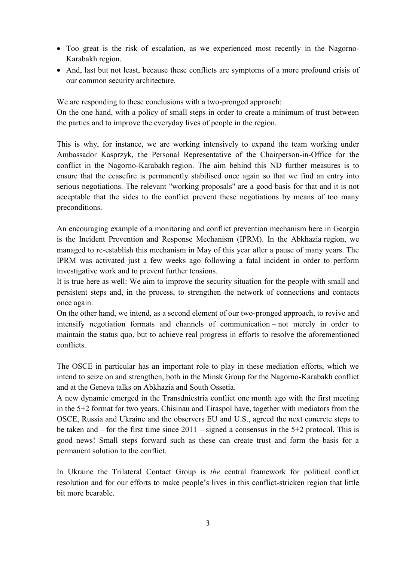- Too great is the risk of escalation, as we experienced most recently in the Nagorno-Karabakh region.
- And, last but not least, because these conflicts are symptoms of a more profound crisis of our common security architecture.

We are responding to these conclusions with a two-pronged approach:

On the one hand, with a policy of small steps in order to create a minimum of trust between the parties and to improve the everyday lives of people in the region.

This is why, for instance, we are working intensively to expand the team working under Ambassador Kasprzyk, the Personal Representative of the Chairperson-in-Office for the conflict in the Nagorno-Karabakh region. The aim behind this ND further measures is to ensure that the ceasefire is permanently stabilised once again so that we find an entry into serious negotiations. The relevant "working proposals" are a good basis for that and it is not acceptable that the sides to the conflict prevent these negotiations by means of too many preconditions.

An encouraging example of a monitoring and conflict prevention mechanism here in Georgia is the Incident Prevention and Response Mechanism (IPRM). In the Abkhazia region, we managed to re-establish this mechanism in May of this year after a pause of many years. The IPRM was activated just a few weeks ago following a fatal incident in order to perform investigative work and to prevent further tensions.

It is true here as well: We aim to improve the security situation for the people with small and persistent steps and, in the process, to strengthen the network of connections and contacts once again.

On the other hand, we intend, as a second element of our two-pronged approach, to revive and intensify negotiation formats and channels of communication – not merely in order to maintain the status quo, but to achieve real progress in efforts to resolve the aforementioned conflicts.

The OSCE in particular has an important role to play in these mediation efforts, which we intend to seize on and strengthen, both in the Minsk Group for the Nagorno-Karabakh conflict and at the Geneva talks on Abkhazia and South Ossetia.

A new dynamic emerged in the Transdniestria conflict one month ago with the first meeting in the 5+2 format for two years. Chisinau and Tiraspol have, together with mediators from the OSCE, Russia and Ukraine and the observers EU and U.S., agreed the next concrete steps to be taken and – for the first time since 2011 – signed a consensus in the 5+2 protocol. This is good news! Small steps forward such as these can create trust and form the basis for a permanent solution to the conflict.

In Ukraine the Trilateral Contact Group is *the* central framework for political conflict resolution and for our efforts to make people's lives in this conflict-stricken region that little bit more bearable.